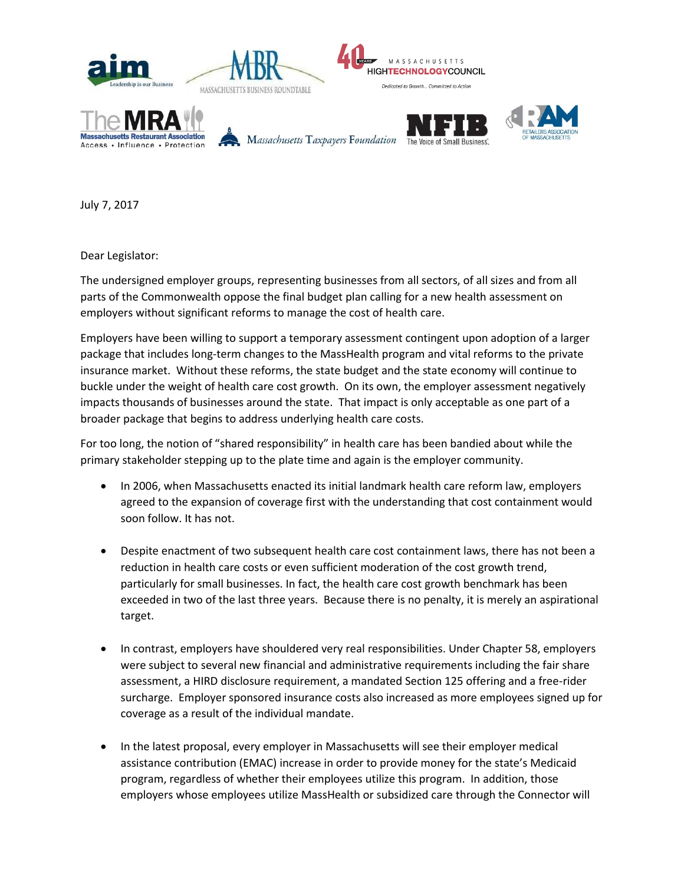

July 7, 2017

Dear Legislator:

The undersigned employer groups, representing businesses from all sectors, of all sizes and from all parts of the Commonwealth oppose the final budget plan calling for a new health assessment on employers without significant reforms to manage the cost of health care.

Employers have been willing to support a temporary assessment contingent upon adoption of a larger package that includes long-term changes to the MassHealth program and vital reforms to the private insurance market. Without these reforms, the state budget and the state economy will continue to buckle under the weight of health care cost growth. On its own, the employer assessment negatively impacts thousands of businesses around the state. That impact is only acceptable as one part of a broader package that begins to address underlying health care costs.

For too long, the notion of "shared responsibility" in health care has been bandied about while the primary stakeholder stepping up to the plate time and again is the employer community.

- In 2006, when Massachusetts enacted its initial landmark health care reform law, employers agreed to the expansion of coverage first with the understanding that cost containment would soon follow. It has not.
- Despite enactment of two subsequent health care cost containment laws, there has not been a reduction in health care costs or even sufficient moderation of the cost growth trend, particularly for small businesses. In fact, the health care cost growth benchmark has been exceeded in two of the last three years. Because there is no penalty, it is merely an aspirational target.
- In contrast, employers have shouldered very real responsibilities. Under Chapter 58, employers were subject to several new financial and administrative requirements including the fair share assessment, a HIRD disclosure requirement, a mandated Section 125 offering and a free-rider surcharge. Employer sponsored insurance costs also increased as more employees signed up for coverage as a result of the individual mandate.
- In the latest proposal, every employer in Massachusetts will see their employer medical assistance contribution (EMAC) increase in order to provide money for the state's Medicaid program, regardless of whether their employees utilize this program. In addition, those employers whose employees utilize MassHealth or subsidized care through the Connector will